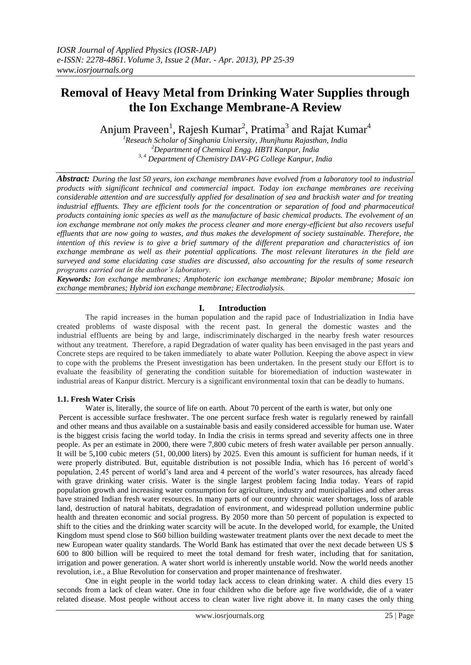# **Removal of Heavy Metal from Drinking Water Supplies through the Ion Exchange Membrane-A Review**

Anjum Praveen<sup>1</sup>, Rajesh Kumar<sup>2</sup>, Pratima<sup>3</sup> and Rajat Kumar<sup>4</sup>

*<sup>1</sup>Reseach Scholar of Singhania University, Jhunjhunu Rajasthan, India <sup>2</sup>Department of Chemical Engg. HBTI Kanpur, India 3, 4 Department of Chemistry DAV-PG College Kanpur, India*

*Abstract: During the last 50 years, ion exchange membranes have evolved from a laboratory tool to industrial products with significant technical and commercial impact. Today ion exchange membranes are receiving considerable attention and are successfully applied for desalination of sea and brackish water and for treating industrial effluents. They are efficient tools for the concentration or separation of food and pharmaceutical products containing ionic species as well as the manufacture of basic chemical products. The evolvement of an ion exchange membrane not only makes the process cleaner and more energy-efficient but also recovers useful effluents that are now going to wastes, and thus makes the development of society sustainable. Therefore, the intention of this review is to give a brief summary of the different preparation and characteristics of ion exchange membrane as well as their potential applications. The most relevant literatures in the field are surveyed and some elucidating case studies are discussed, also accounting for the results of some research programs carried out in the author's laboratory.*

*Keywords: Ion exchange membranes; Amphoteric ion exchange membrane; Bipolar membrane; Mosaic ion exchange membranes; Hybrid ion exchange membrane; Electrodialysis.*

## **I. Introduction**

The rapid increases in the human population and the rapid pace of Industrialization in India have created problems of waste disposal with the recent past. In general the domestic wastes and the industrial effluents are being by and large, indiscriminately discharged in the nearby fresh water resources without any treatment. Therefore, a rapid Degradation of water quality has been envisaged in the past years and Concrete steps are required to be taken immediately to abate water Pollution. Keeping the above aspect in view to cope with the problems the Present investigation has been undertaken. In the present study our Effort is to evaluate the feasibility of generating the condition suitable for bioremediation of induction wastewater in industrial areas of Kanpur district. Mercury is a significant environmental toxin that can be deadly to humans.

## **1.1. Fresh Water Crisis**

Water is, literally, the source of life on earth. About 70 percent of the earth is water, but only one Percent is accessible surface freshwater. The one percent surface fresh water is regularly renewed by rainfall and other means and thus available on a sustainable basis and easily considered accessible for human use. Water is the biggest crisis facing the world today. In India the crisis in terms spread and severity affects one in three people. As per an estimate in 2000, there were 7,800 cubic meters of fresh water available per person annually. It will be 5,100 cubic meters (51, 00,000 liters) by 2025. Even this amount is sufficient for human needs, if it were properly distributed. But, equitable distribution is not possible India, which has 16 percent of world's population, 2.45 percent of world's land area and 4 percent of the world's water resources, has already faced with grave drinking water crisis. Water is the single largest problem facing India today. Years of rapid population growth and increasing water consumption for agriculture, industry and municipalities and other areas have strained Indian fresh water resources. In many parts of our country chronic water shortages, loss of arable land, destruction of natural habitats, degradation of environment, and widespread pollution undermine public health and threaten economic and social progress. By 2050 more than 50 percent of population is expected to shift to the cities and the drinking water scarcity will be acute. In the developed world, for example, the United Kingdom must spend close to \$60 billion building wastewater treatment plants over the next decade to meet the new European water quality standards. The World Bank has estimated that over the next decade between US \$ 600 to 800 billion will be required to meet the total demand for fresh water, including that for sanitation, irrigation and power generation. A water short world is inherently unstable world. Now the world needs another revolution, i.e., a Blue Revolution for conservation and proper maintenance of freshwater.

One in eight people in the world today lack access to clean drinking water. A child dies every 15 seconds from a lack of clean water. One in four children who die before age five worldwide, die of a water related disease. Most people without access to clean water live right above it. In many cases the only thing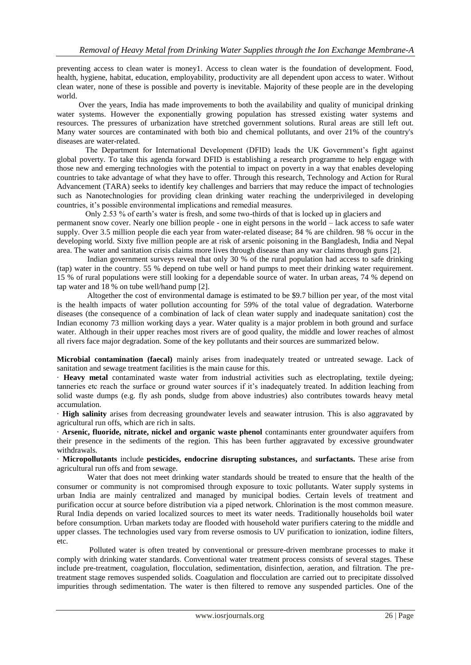preventing access to clean water is money1. Access to clean water is the foundation of development. Food, health, hygiene, habitat, education, employability, productivity are all dependent upon access to water. Without clean water, none of these is possible and poverty is inevitable. Majority of these people are in the developing world.

 Over the years, India has made improvements to both the availability and quality of municipal drinking water systems. However the exponentially growing population has stressed existing water systems and resources. The pressures of urbanization have stretched government solutions. Rural areas are still left out. Many water sources are contaminated with both bio and chemical pollutants, and over 21% of the country's diseases are water-related.

The Department for International Development (DFID) leads the UK Government's fight against global poverty. To take this agenda forward DFID is establishing a research programme to help engage with those new and emerging technologies with the potential to impact on poverty in a way that enables developing countries to take advantage of what they have to offer. Through this research, Technology and Action for Rural Advancement (TARA) seeks to identify key challenges and barriers that may reduce the impact of technologies such as Nanotechnologies for providing clean drinking water reaching the underprivileged in developing countries, it's possible environmental implications and remedial measures.

 Only 2.53 % of earth's water is fresh, and some two-thirds of that is locked up in glaciers and permanent snow cover. Nearly one billion people - one in eight persons in the world – lack access to safe water supply. Over 3.5 million people die each year from water-related disease; 84 % are children. 98 % occur in the developing world. Sixty five million people are at risk of arsenic poisoning in the Bangladesh, India and Nepal area. The water and sanitation crisis claims more lives through disease than any war claims through guns [2].

 Indian government surveys reveal that only 30 % of the rural population had access to safe drinking (tap) water in the country. 55 % depend on tube well or hand pumps to meet their drinking water requirement. 15 % of rural populations were still looking for a dependable source of water. In urban areas, 74 % depend on tap water and 18 % on tube well/hand pump [2].

Altogether the cost of environmental damage is estimated to be \$9.7 billion per year, of the most vital is the health impacts of water pollution accounting for 59% of the total value of degradation. Waterborne diseases (the consequence of a combination of lack of clean water supply and inadequate sanitation) cost the Indian economy 73 million working days a year. Water quality is a major problem in both ground and surface water. Although in their upper reaches most rivers are of good quality, the middle and lower reaches of almost all rivers face major degradation. Some of the key pollutants and their sources are summarized below.

**Microbial contamination (faecal)** mainly arises from inadequately treated or untreated sewage. Lack of sanitation and sewage treatment facilities is the main cause for this.

· **Heavy metal** contaminated waste water from industrial activities such as electroplating, textile dyeing; tanneries etc reach the surface or ground water sources if it's inadequately treated. In addition leaching from solid waste dumps (e.g. fly ash ponds, sludge from above industries) also contributes towards heavy metal accumulation.

· **High salinity** arises from decreasing groundwater levels and seawater intrusion. This is also aggravated by agricultural run offs, which are rich in salts.

· **Arsenic, fluoride, nitrate, nickel and organic waste phenol** contaminants enter groundwater aquifers from their presence in the sediments of the region. This has been further aggravated by excessive groundwater withdrawals.

· **Micropollutants** include **pesticides, endocrine disrupting substances,** and **surfactants.** These arise from agricultural run offs and from sewage.

 Water that does not meet drinking water standards should be treated to ensure that the health of the consumer or community is not compromised through exposure to toxic pollutants. Water supply systems in urban India are mainly centralized and managed by municipal bodies. Certain levels of treatment and purification occur at source before distribution via a piped network. Chlorination is the most common measure. Rural India depends on varied localized sources to meet its water needs. Traditionally households boil water before consumption. Urban markets today are flooded with household water purifiers catering to the middle and upper classes. The technologies used vary from reverse osmosis to UV purification to ionization, iodine filters, etc.

 Polluted water is often treated by conventional or pressure-driven membrane processes to make it comply with drinking water standards. Conventional water treatment process consists of several stages. These include pre-treatment, coagulation, flocculation, sedimentation, disinfection, aeration, and filtration. The pretreatment stage removes suspended solids. Coagulation and flocculation are carried out to precipitate dissolved impurities through sedimentation. The water is then filtered to remove any suspended particles. One of the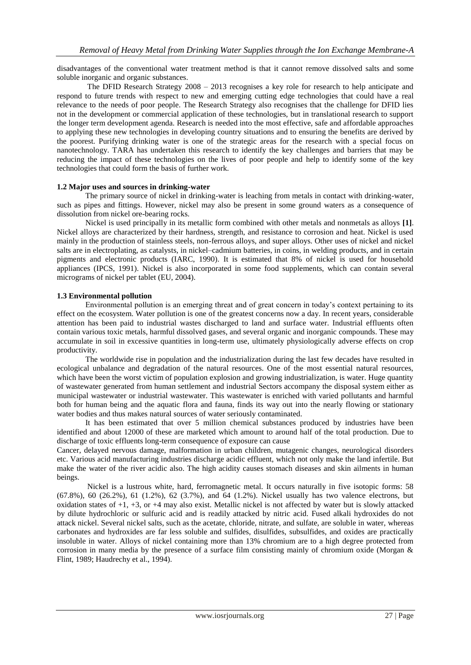disadvantages of the conventional water treatment method is that it cannot remove dissolved salts and some soluble inorganic and organic substances.

 The DFID Research Strategy 2008 – 2013 recognises a key role for research to help anticipate and respond to future trends with respect to new and emerging cutting edge technologies that could have a real relevance to the needs of poor people. The Research Strategy also recognises that the challenge for DFID lies not in the development or commercial application of these technologies, but in translational research to support the longer term development agenda. Research is needed into the most effective, safe and affordable approaches to applying these new technologies in developing country situations and to ensuring the benefits are derived by the poorest. Purifying drinking water is one of the strategic areas for the research with a special focus on nanotechnology. TARA has undertaken this research to identify the key challenges and barriers that may be reducing the impact of these technologies on the lives of poor people and help to identify some of the key technologies that could form the basis of further work.

## **1.2 Major uses and sources in drinking-water**

The primary source of nickel in drinking-water is leaching from metals in contact with drinking-water, such as pipes and fittings. However, nickel may also be present in some ground waters as a consequence of dissolution from nickel ore-bearing rocks.

 Nickel is used principally in its metallic form combined with other metals and nonmetals as alloys **[1]**. Nickel alloys are characterized by their hardness, strength, and resistance to corrosion and heat. Nickel is used mainly in the production of stainless steels, non-ferrous alloys, and super alloys. Other uses of nickel and nickel salts are in electroplating, as catalysts, in nickel–cadmium batteries, in coins, in welding products, and in certain pigments and electronic products (IARC, 1990). It is estimated that 8% of nickel is used for household appliances (IPCS, 1991). Nickel is also incorporated in some food supplements, which can contain several micrograms of nickel per tablet (EU, 2004).

### **1.3 Environmental pollution**

Environmental pollution is an emerging threat and of great concern in today's context pertaining to its effect on the ecosystem. Water pollution is one of the greatest concerns now a day. In recent years, considerable attention has been paid to industrial wastes discharged to land and surface water. Industrial effluents often contain various toxic metals, harmful dissolved gases, and several organic and inorganic compounds. These may accumulate in soil in excessive quantities in long-term use, ultimately physiologically adverse effects on crop productivity.

 The worldwide rise in population and the industrialization during the last few decades have resulted in ecological unbalance and degradation of the natural resources. One of the most essential natural resources, which have been the worst victim of population explosion and growing industrialization, is water. Huge quantity of wastewater generated from human settlement and industrial Sectors accompany the disposal system either as municipal wastewater or industrial wastewater. This wastewater is enriched with varied pollutants and harmful both for human being and the aquatic flora and fauna, finds its way out into the nearly flowing or stationary water bodies and thus makes natural sources of water seriously contaminated.

 It has been estimated that over 5 million chemical substances produced by industries have been identified and about 12000 of these are marketed which amount to around half of the total production. Due to discharge of toxic effluents long-term consequence of exposure can cause

Cancer, delayed nervous damage, malformation in urban children, mutagenic changes, neurological disorders etc. Various acid manufacturing industries discharge acidic effluent, which not only make the land infertile. But make the water of the river acidic also. The high acidity causes stomach diseases and skin ailments in human beings.

 Nickel is a lustrous white, hard, ferromagnetic metal. It occurs naturally in five isotopic forms: 58 (67.8%), 60 (26.2%), 61 (1.2%), 62 (3.7%), and 64 (1.2%). Nickel usually has two valence electrons, but oxidation states of +1, +3, or +4 may also exist. Metallic nickel is not affected by water but is slowly attacked by dilute hydrochloric or sulfuric acid and is readily attacked by nitric acid. Fused alkali hydroxides do not attack nickel. Several nickel salts, such as the acetate, chloride, nitrate, and sulfate, are soluble in water, whereas carbonates and hydroxides are far less soluble and sulfides, disulfides, subsulfides, and oxides are practically insoluble in water. Alloys of nickel containing more than 13% chromium are to a high degree protected from corrosion in many media by the presence of a surface film consisting mainly of chromium oxide (Morgan & Flint, 1989; Haudrechy et al., 1994).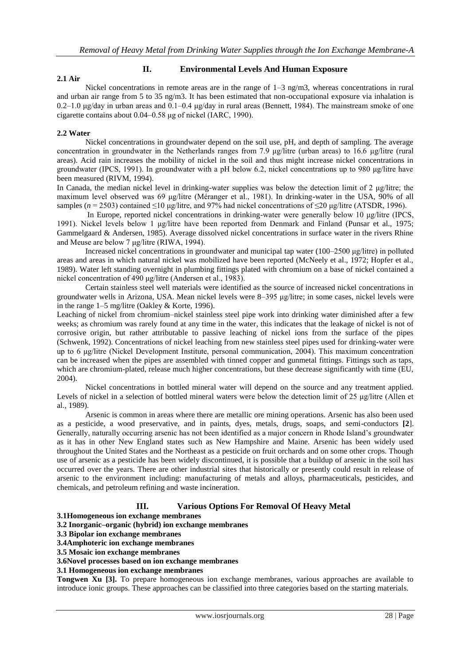#### **II. Environmental Levels And Human Exposure 2.1 Air**

Nickel concentrations in remote areas are in the range of  $1-3$  ng/m3, whereas concentrations in rural and urban air range from 5 to 35 ng/m3. It has been estimated that non-occupational exposure via inhalation is  $0.2-1.0 \mu$ g/day in urban areas and  $0.1-0.4 \mu$ g/day in rural areas (Bennett, 1984). The mainstream smoke of one cigarette contains about 0.04–0.58 μg of nickel (IARC, 1990).

### **2.2 Water**

Nickel concentrations in groundwater depend on the soil use, pH, and depth of sampling. The average concentration in groundwater in the Netherlands ranges from 7.9 μg/litre (urban areas) to 16.6 μg/litre (rural areas). Acid rain increases the mobility of nickel in the soil and thus might increase nickel concentrations in groundwater (IPCS, 1991). In groundwater with a pH below 6.2, nickel concentrations up to 980  $\mu$ g/litre have been measured (RIVM, 1994).

In Canada, the median nickel level in drinking-water supplies was below the detection limit of 2 μg/litre; the maximum level observed was 69 μg/litre (Méranger et al., 1981). In drinking-water in the USA, 90% of all samples ( $n = 2503$ ) contained ≤10 µg/litre, and 97% had nickel concentrations of ≤20 µg/litre (ATSDR, 1996).

 In Europe, reported nickel concentrations in drinking-water were generally below 10 μg/litre (IPCS, 1991). Nickel levels below 1 μg/litre have been reported from Denmark and Finland (Punsar et al., 1975; Gammelgaard & Andersen, 1985). Average dissolved nickel concentrations in surface water in the rivers Rhine and Meuse are below 7 μg/litre (RIWA, 1994).

 Increased nickel concentrations in groundwater and municipal tap water (100–2500 μg/litre) in polluted areas and areas in which natural nickel was mobilized have been reported (McNeely et al., 1972; Hopfer et al., 1989). Water left standing overnight in plumbing fittings plated with chromium on a base of nickel contained a nickel concentration of 490 μg/litre (Andersen et al., 1983).

 Certain stainless steel well materials were identified as the source of increased nickel concentrations in groundwater wells in Arizona, USA. Mean nickel levels were 8–395 μg/litre; in some cases, nickel levels were in the range 1–5 mg/litre (Oakley & Korte, 1996).

Leaching of nickel from chromium–nickel stainless steel pipe work into drinking water diminished after a few weeks; as chromium was rarely found at any time in the water, this indicates that the leakage of nickel is not of corrosive origin, but rather attributable to passive leaching of nickel ions from the surface of the pipes (Schwenk, 1992). Concentrations of nickel leaching from new stainless steel pipes used for drinking-water were up to 6 μg/litre (Nickel Development Institute, personal communication, 2004). This maximum concentration can be increased when the pipes are assembled with tinned copper and gunmetal fittings. Fittings such as taps, which are chromium-plated, release much higher concentrations, but these decrease significantly with time (EU, 2004).

Nickel concentrations in bottled mineral water will depend on the source and any treatment applied. Levels of nickel in a selection of bottled mineral waters were below the detection limit of 25 μg/litre (Allen et al., 1989).

Arsenic is common in areas where there are metallic ore mining operations. Arsenic has also been used as a pesticide, a wood preservative, and in paints, dyes, metals, drugs, soaps, and semi-conductors **[2**]. Generally, naturally occurring arsenic has not been identified as a major concern in Rhode Island's groundwater as it has in other New England states such as New Hampshire and Maine. Arsenic has been widely used throughout the United States and the Northeast as a pesticide on fruit orchards and on some other crops. Though use of arsenic as a pesticide has been widely discontinued, it is possible that a buildup of arsenic in the soil has occurred over the years. There are other industrial sites that historically or presently could result in release of arsenic to the environment including: manufacturing of metals and alloys, pharmaceuticals, pesticides, and chemicals, and petroleum refining and waste incineration.

## **III. Various Options For Removal Of Heavy Metal**

**3.1Homogeneous ion exchange membranes** 

- **3.2 Inorganic–organic (hybrid) ion exchange membranes**
- **3.3 Bipolar ion exchange membranes**
- **3.4Amphoteric ion exchange membranes**
- **3.5 Mosaic ion exchange membranes**
- **3.6Novel processes based on ion exchange membranes**

**3.1 Homogeneous ion exchange membranes** 

**Tongwen Xu [3].** To prepare homogeneous ion exchange membranes, various approaches are available to introduce ionic groups. These approaches can be classified into three categories based on the starting materials.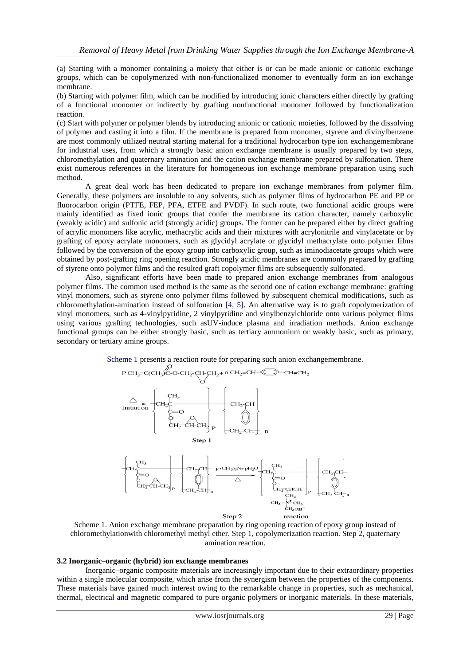(a) Starting with a monomer containing a moiety that either is or can be made anionic or cationic exchange groups, which can be copolymerized with non-functionalized monomer to eventually form an ion exchange membrane.

(b) Starting with polymer film, which can be modified by introducing ionic characters either directly by grafting of a functional monomer or indirectly by grafting nonfunctional monomer followed by functionalization reaction.

(c) Start with polymer or polymer blends by introducing anionic or cationic moieties, followed by the dissolving of polymer and casting it into a film. If the membrane is prepared from monomer, styrene and divinylbenzene are most commonly utilized neutral starting material for a traditional hydrocarbon type ion exchangemembrane for industrial uses, from which a strongly basic anion exchange membrane is usually prepared by two steps, chloromethylation and quaternary amination and the cation exchange membrane prepared by sulfonation. There exist numerous references in the literature for homogeneous ion exchange membrane preparation using such method.

 A great deal work has been dedicated to prepare ion exchange membranes from polymer film. Generally, these polymers are insoluble to any solvents, such as polymer films of hydrocarbon PE and PP or fluorocarbon origin (PTFE, FEP, PFA, ETFE and PVDF). In such route, two functional acidic groups were mainly identified as fixed ionic groups that confer the membrane its cation character, namely carboxylic (weakly acidic) and sulfonic acid (strongly acidic) groups. The former can be prepared either by direct grafting of acrylic monomers like acrylic, methacrylic acids and their mixtures with acrylonitrile and vinylacetate or by grafting of epoxy acrylate monomers, such as glycidyl acrylate or glycidyl methacrylate onto polymer films followed by the conversion of the epoxy group into carboxylic group, such as iminodiacetate groups which were obtained by post-grafting ring opening reaction. Strongly acidic membranes are commonly prepared by grafting of styrene onto polymer films and the resulted graft copolymer films are subsequently sulfonated.

 Also, significant efforts have been made to prepared anion exchange membranes from analogous polymer films. The common used method is the same as the second one of cation exchange membrane: grafting vinyl monomers, such as styrene onto polymer films followed by subsequent chemical modifications, such as chloromethylation-amination instead of sulfonation [4, 5]. An alternative way is to graft copolymerization of vinyl monomers, such as 4-vinylpyridine, 2 vinylpyridine and vinylbenzylchloride onto various polymer films using various grafting technologies, such asUV-induce plasma and irradiation methods. Anion exchange functional groups can be either strongly basic, such as tertiary ammonium or weakly basic, such as primary, secondary or tertiary amine groups.





Scheme 1. Anion exchange membrane preparation by ring opening reaction of epoxy group instead of chloromethylationwith chloromethyl methyl ether. Step 1, copolymerization reaction. Step 2, quaternary amination reaction.

#### **3.2 Inorganic–organic (hybrid) ion exchange membranes**

Inorganic–organic composite materials are increasingly important due to their extraordinary properties within a single molecular composite, which arise from the synergism between the properties of the components. These materials have gained much interest owing to the remarkable change in properties, such as mechanical, thermal, electrical and magnetic compared to pure organic polymers or inorganic materials. In these materials,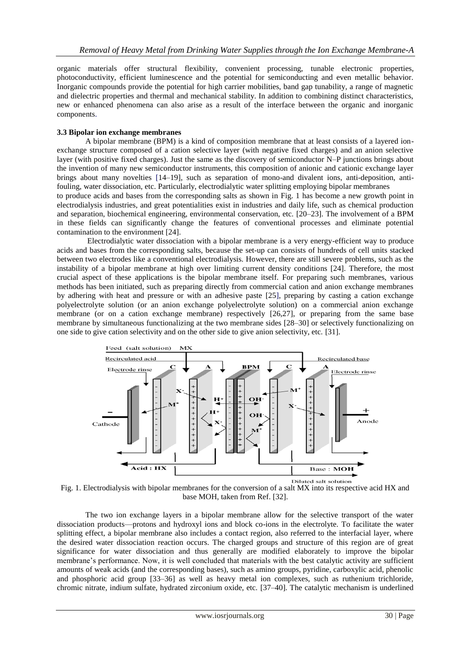organic materials offer structural flexibility, convenient processing, tunable electronic properties, photoconductivity, efficient luminescence and the potential for semiconducting and even metallic behavior. Inorganic compounds provide the potential for high carrier mobilities, band gap tunability, a range of magnetic and dielectric properties and thermal and mechanical stability. In addition to combining distinct characteristics, new or enhanced phenomena can also arise as a result of the interface between the organic and inorganic components.

## **3.3 Bipolar ion exchange membranes**

A bipolar membrane (BPM) is a kind of composition membrane that at least consists of a layered ionexchange structure composed of a cation selective layer (with negative fixed charges) and an anion selective layer (with positive fixed charges). Just the same as the discovery of semiconductor N–P junctions brings about the invention of many new semiconductor instruments, this composition of anionic and cationic exchange layer brings about many novelties [14–19], such as separation of mono-and divalent ions, anti-deposition, antifouling, water dissociation, etc. Particularly, electrodialytic water splitting employing bipolar membranes

to produce acids and bases from the corresponding salts as shown in Fig. 1 has become a new growth point in electrodialysis industries, and great potentialities exist in industries and daily life, such as chemical production and separation, biochemical engineering, environmental conservation, etc. [20–23]. The involvement of a BPM in these fields can significantly change the features of conventional processes and eliminate potential contamination to the environment [24].

 Electrodialytic water dissociation with a bipolar membrane is a very energy-efficient way to produce acids and bases from the corresponding salts, because the set-up can consists of hundreds of cell units stacked between two electrodes like a conventional electrodialysis. However, there are still severe problems, such as the instability of a bipolar membrane at high over limiting current density conditions [24]. Therefore, the most crucial aspect of these applications is the bipolar membrane itself. For preparing such membranes, various methods has been initiated, such as preparing directly from commercial cation and anion exchange membranes by adhering with heat and pressure or with an adhesive paste [25], preparing by casting a cation exchange polyelectrolyte solution (or an anion exchange polyelectrolyte solution) on a commercial anion exchange membrane (or on a cation exchange membrane) respectively [26,27], or preparing from the same base membrane by simultaneous functionalizing at the two membrane sides [28–30] or selectively functionalizing on one side to give cation selectivity and on the other side to give anion selectivity, etc. [31].



Fig. 1. Electrodialysis with bipolar membranes for the conversion of a salt MX into its respective acid HX and base MOH, taken from Ref. [32].

The two ion exchange layers in a bipolar membrane allow for the selective transport of the water dissociation products—protons and hydroxyl ions and block co-ions in the electrolyte. To facilitate the water splitting effect, a bipolar membrane also includes a contact region, also referred to the interfacial layer, where the desired water dissociation reaction occurs. The charged groups and structure of this region are of great significance for water dissociation and thus generally are modified elaborately to improve the bipolar membrane's performance. Now, it is well concluded that materials with the best catalytic activity are sufficient amounts of weak acids (and the corresponding bases), such as amino groups, pyridine, carboxylic acid, phenolic and phosphoric acid group [33–36] as well as heavy metal ion complexes, such as ruthenium trichloride, chromic nitrate, indium sulfate, hydrated zirconium oxide, etc. [37–40]. The catalytic mechanism is underlined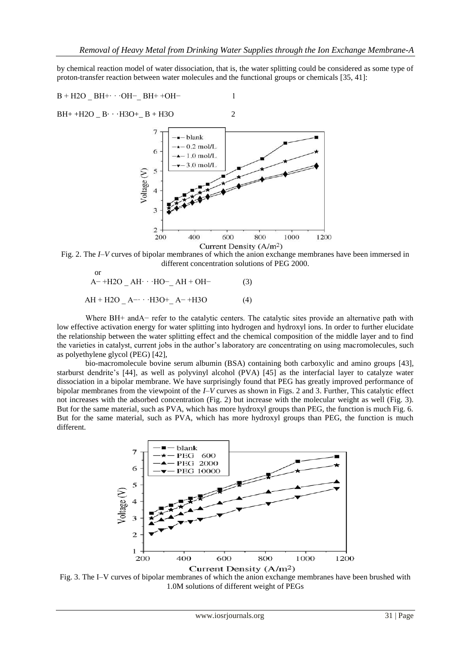by chemical reaction model of water dissociation, that is, the water splitting could be considered as some type of proton-transfer reaction between water molecules and the functional groups or chemicals [35, 41]:

B + H2O \_ BH+· · ·OH−\_ BH+ +OH− 1 BH+ +H2O \_ B· · ·H3O+\_ B + H3O 2

Fig. 2. The *I*–*V* curves of bipolar membranes of which the anion exchange membranes have been immersed in different concentration solutions of PEG 2000.

or  
\n
$$
A^{-} + H2O A H \cdot HO^{-} A H + OH- \qquad (3)
$$
\n
$$
AH + H2O A^{-} \cdot H3O^{+} A^{-} + H3O \qquad (4)
$$

Where BH+ andA− refer to the catalytic centers. The catalytic sites provide an alternative path with low effective activation energy for water splitting into hydrogen and hydroxyl ions. In order to further elucidate the relationship between the water splitting effect and the chemical composition of the middle layer and to find the varieties in catalyst, current jobs in the author's laboratory are concentrating on using macromolecules, such as polyethylene glycol (PEG) [42],

bio-macromolecule bovine serum albumin (BSA) containing both carboxylic and amino groups [43], starburst dendrite's [44], as well as polyvinyl alcohol (PVA) [45] as the interfacial layer to catalyze water dissociation in a bipolar membrane. We have surprisingly found that PEG has greatly improved performance of bipolar membranes from the viewpoint of the *I*–*V* curves as shown in Figs. 2 and 3. Further, This catalytic effect not increases with the adsorbed concentration (Fig. 2) but increase with the molecular weight as well (Fig. 3). But for the same material, such as PVA, which has more hydroxyl groups than PEG, the function is much Fig. 6. But for the same material, such as PVA, which has more hydroxyl groups than PEG, the function is much different.



Fig. 3. The I–V curves of bipolar membranes of which the anion exchange membranes have been brushed with 1.0M solutions of different weight of PEGs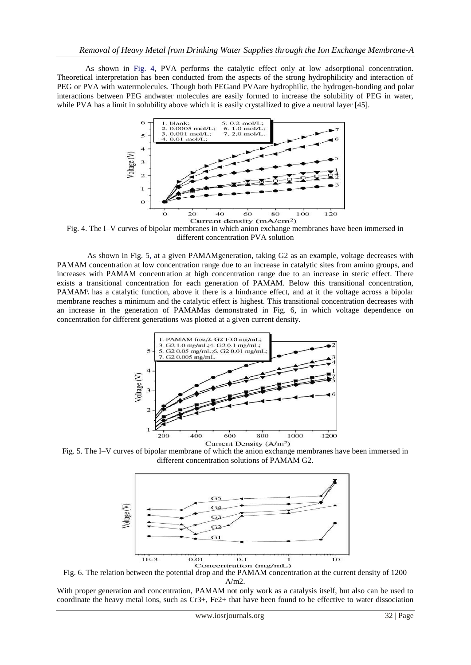As shown in Fig. 4, PVA performs the catalytic effect only at low adsorptional concentration. Theoretical interpretation has been conducted from the aspects of the strong hydrophilicity and interaction of PEG or PVA with watermolecules. Though both PEGand PVAare hydrophilic, the hydrogen-bonding and polar interactions between PEG andwater molecules are easily formed to increase the solubility of PEG in water, while PVA has a limit in solubility above which it is easily crystallized to give a neutral layer [45].



Fig. 4. The I–V curves of bipolar membranes in which anion exchange membranes have been immersed in different concentration PVA solution

As shown in Fig. 5, at a given PAMAMgeneration, taking G2 as an example, voltage decreases with PAMAM concentration at low concentration range due to an increase in catalytic sites from amino groups, and increases with PAMAM concentration at high concentration range due to an increase in steric effect. There exists a transitional concentration for each generation of PAMAM. Below this transitional concentration, PAMAM\ has a catalytic function, above it there is a hindrance effect, and at it the voltage across a bipolar membrane reaches a minimum and the catalytic effect is highest. This transitional concentration decreases with an increase in the generation of PAMAMas demonstrated in Fig. 6, in which voltage dependence on concentration for different generations was plotted at a given current density.



Fig. 5. The I–V curves of bipolar membrane of which the anion exchange membranes have been immersed in different concentration solutions of PAMAM G2.



Fig. 6. The relation between the potential drop and the PAMAM concentration at the current density of 1200 A/m2.

With proper generation and concentration, PAMAM not only work as a catalysis itself, but also can be used to coordinate the heavy metal ions, such as Cr3+, Fe2+ that have been found to be effective to water dissociation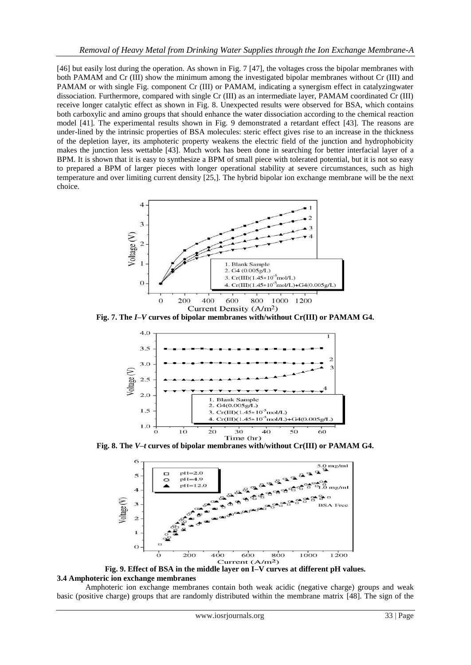[46] but easily lost during the operation. As shown in Fig. 7 [47], the voltages cross the bipolar membranes with both PAMAM and Cr (III) show the minimum among the investigated bipolar membranes without Cr (III) and PAMAM or with single Fig. component Cr (III) or PAMAM, indicating a synergism effect in catalyzingwater dissociation. Furthermore, compared with single Cr (III) as an intermediate layer, PAMAM coordinated Cr (III) receive longer catalytic effect as shown in Fig. 8. Unexpected results were observed for BSA, which contains both carboxylic and amino groups that should enhance the water dissociation according to the chemical reaction model [41]. The experimental results shown in Fig. 9 demonstrated a retardant effect [43]. The reasons are under-lined by the intrinsic properties of BSA molecules: steric effect gives rise to an increase in the thickness of the depletion layer, its amphoteric property weakens the electric field of the junction and hydrophobicity makes the junction less wettable [43]. Much work has been done in searching for better interfacial layer of a BPM. It is shown that it is easy to synthesize a BPM of small piece with tolerated potential, but it is not so easy to prepared a BPM of larger pieces with longer operational stability at severe circumstances, such as high temperature and over limiting current density [25,]. The hybrid bipolar ion exchange membrane will be the next choice.



**Fig. 7. The** *I***–***V* **curves of bipolar membranes with/without Cr(III) or PAMAM G4.**



**Fig. 8. The** *V***–***t* **curves of bipolar membranes with/without Cr(III) or PAMAM G4.**



**Fig. 9. Effect of BSA in the middle layer on I–V curves at different pH values. 3.4 Amphoteric ion exchange membranes**

Amphoteric ion exchange membranes contain both weak acidic (negative charge) groups and weak basic (positive charge) groups that are randomly distributed within the membrane matrix [48]. The sign of the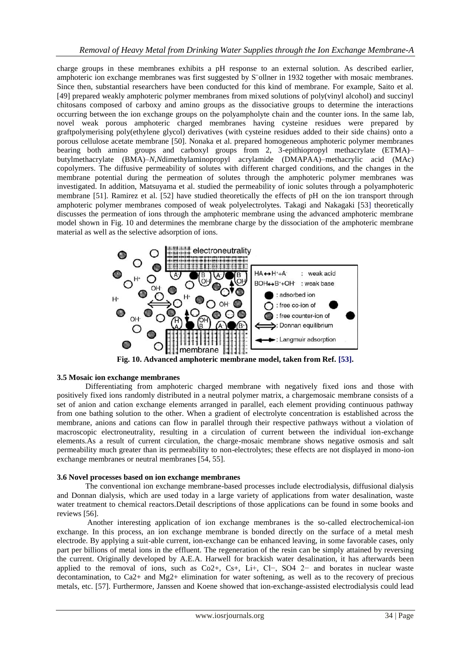charge groups in these membranes exhibits a pH response to an external solution. As described earlier, amphoteric ion exchange membranes was first suggested by S¨ollner in 1932 together with mosaic membranes. Since then, substantial researchers have been conducted for this kind of membrane. For example, Saito et al. [49] prepared weakly amphoteric polymer membranes from mixed solutions of poly(vinyl alcohol) and succinyl chitosans composed of carboxy and amino groups as the dissociative groups to determine the interactions occurring between the ion exchange groups on the polyampholyte chain and the counter ions. In the same lab, novel weak porous amphoteric charged membranes having cysteine residues were prepared by graftpolymerising poly(ethylene glycol) derivatives (with cysteine residues added to their side chains) onto a porous cellulose acetate membrane [50]. Nonaka et al. prepared homogeneous amphoteric polymer membranes bearing both amino groups and carboxyl groups from 2, 3-epithiopropyl methacrylate (ETMA)– butylmethacrylate (BMA)–*N*,*N*dimethylaminopropyl acrylamide (DMAPAA)–methacrylic acid (MAc) copolymers. The diffusive permeability of solutes with different charged conditions, and the changes in the membrane potential during the permeation of solutes through the amphoteric polymer membranes was investigated. In addition, Matsuyama et al. studied the permeability of ionic solutes through a polyamphoteric membrane [51]. Ramirez et al. [52] have studied theoretically the effects of pH on the ion transport through amphoteric polymer membranes composed of weak polyelectrolytes. Takagi and Nakagaki [53] theoretically discusses the permeation of ions through the amphoteric membrane using the advanced amphoteric membrane model shown in Fig. 10 and determines the membrane charge by the dissociation of the amphoteric membrane material as well as the selective adsorption of ions.



**Fig. 10. Advanced amphoteric membrane model, taken from Ref. [53].**

## **3.5 Mosaic ion exchange membranes**

Differentiating from amphoteric charged membrane with negatively fixed ions and those with positively fixed ions randomly distributed in a neutral polymer matrix, a chargemosaic membrane consists of a set of anion and cation exchange elements arranged in parallel, each element providing continuous pathway from one bathing solution to the other. When a gradient of electrolyte concentration is established across the membrane, anions and cations can flow in parallel through their respective pathways without a violation of macroscopic electroneutrality, resulting in a circulation of current between the individual ion-exchange elements.As a result of current circulation, the charge-mosaic membrane shows negative osmosis and salt permeability much greater than its permeability to non-electrolytes; these effects are not displayed in mono-ion exchange membranes or neutral membranes [54, 55].

# **3.6 Novel processes based on ion exchange membranes**

The conventional ion exchange membrane-based processes include electrodialysis, diffusional dialysis and Donnan dialysis, which are used today in a large variety of applications from water desalination, waste water treatment to chemical reactors.Detail descriptions of those applications can be found in some books and reviews [56].

 Another interesting application of ion exchange membranes is the so-called electrochemical-ion exchange. In this process, an ion exchange membrane is bonded directly on the surface of a metal mesh electrode. By applying a suit-able current, ion-exchange can be enhanced leaving, in some favorable cases, only part per billions of metal ions in the effluent. The regeneration of the resin can be simply attained by reversing the current. Originally developed by A.E.A. Harwell for brackish water desalination, it has afterwards been applied to the removal of ions, such as Co2+, Cs+, Li+, Cl−, SO4 2− and borates in nuclear waste decontamination, to Ca2+ and Mg2+ elimination for water softening, as well as to the recovery of precious metals, etc. [57]. Furthermore, Janssen and Koene showed that ion-exchange-assisted electrodialysis could lead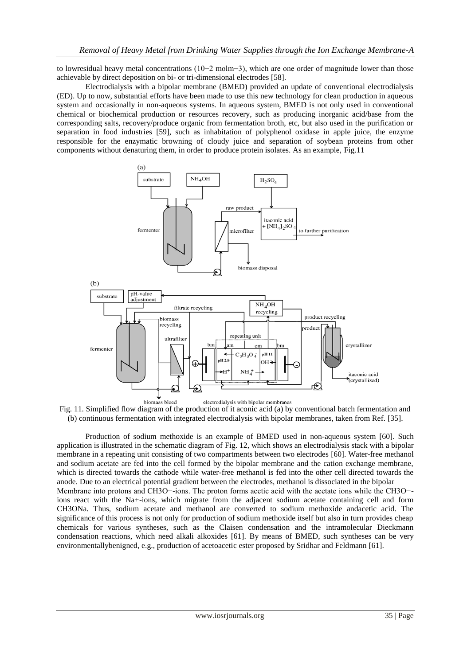to lowresidual heavy metal concentrations (10−2 molm−3), which are one order of magnitude lower than those achievable by direct deposition on bi- or tri-dimensional electrodes [58].

Electrodialysis with a bipolar membrane (BMED) provided an update of conventional electrodialysis (ED). Up to now, substantial efforts have been made to use this new technology for clean production in aqueous system and occasionally in non-aqueous systems. In aqueous system, BMED is not only used in conventional chemical or biochemical production or resources recovery, such as producing inorganic acid/base from the corresponding salts, recovery/produce organic from fermentation broth, etc, but also used in the purification or separation in food industries [59], such as inhabitation of polyphenol oxidase in apple juice, the enzyme responsible for the enzymatic browning of cloudy juice and separation of soybean proteins from other components without denaturing them, in order to produce protein isolates. As an example, Fig.11



Fig. 11. Simplified flow diagram of the production of it aconic acid (a) by conventional batch fermentation and (b) continuous fermentation with integrated electrodialysis with bipolar membranes, taken from Ref. [35].

Production of sodium methoxide is an example of BMED used in non-aqueous system [60]. Such application is illustrated in the schematic diagram of Fig. 12, which shows an electrodialysis stack with a bipolar membrane in a repeating unit consisting of two compartments between two electrodes [60]. Water-free methanol and sodium acetate are fed into the cell formed by the bipolar membrane and the cation exchange membrane, which is directed towards the cathode while water-free methanol is fed into the other cell directed towards the anode. Due to an electrical potential gradient between the electrodes, methanol is dissociated in the bipolar Membrane into protons and CH3O−-ions. The proton forms acetic acid with the acetate ions while the CH3O− ions react with the Na+-ions, which migrate from the adjacent sodium acetate containing cell and form CH3ONa. Thus, sodium acetate and methanol are converted to sodium methoxide andacetic acid. The significance of this process is not only for production of sodium methoxide itself but also in turn provides cheap chemicals for various syntheses, such as the Claisen condensation and the intramolecular Dieckmann condensation reactions, which need alkali alkoxides [61]. By means of BMED, such syntheses can be very environmentallybenigned, e.g., production of acetoacetic ester proposed by Sridhar and Feldmann [61].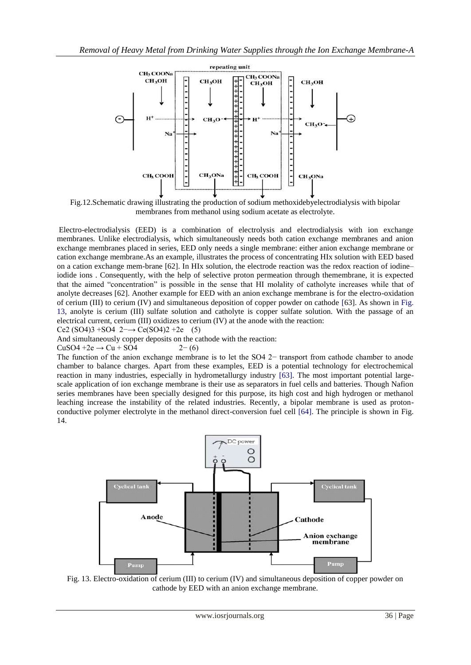

Fig.12.Schematic drawing illustrating the production of sodium methoxidebyelectrodialysis with bipolar membranes from methanol using sodium acetate as electrolyte.

Electro-electrodialysis (EED) is a combination of electrolysis and electrodialysis with ion exchange membranes. Unlike electrodialysis, which simultaneously needs both cation exchange membranes and anion exchange membranes placed in series, EED only needs a single membrane: either anion exchange membrane or cation exchange membrane.As an example, illustrates the process of concentrating HIx solution with EED based on a cation exchange mem-brane [62]. In HIx solution, the electrode reaction was the redox reaction of iodine– iodide ions . Consequently, with the help of selective proton permeation through themembrane, it is expected that the aimed "concentration" is possible in the sense that HI molality of catholyte increases while that of anolyte decreases [62]. Another example for EED with an anion exchange membrane is for the electro-oxidation of cerium (III) to cerium (IV) and simultaneous deposition of copper powder on cathode [63]. As shown in Fig. 13, anolyte is cerium (III) sulfate solution and catholyte is copper sulfate solution. With the passage of an electrical current, cerium (III) oxidizes to cerium (IV) at the anode with the reaction: Ce2 (SO4)3 +SO4 2−→ Ce(SO4)2 +2e (5)

And simultaneously copper deposits on the cathode with the reaction:

 $CuSO4 +2e \rightarrow Cu + SO4$  2− (6)

The function of the anion exchange membrane is to let the SO4 2− transport from cathode chamber to anode chamber to balance charges. Apart from these examples, EED is a potential technology for electrochemical reaction in many industries, especially in hydrometallurgy industry [63]. The most important potential largescale application of ion exchange membrane is their use as separators in fuel cells and batteries. Though Nafion series membranes have been specially designed for this purpose, its high cost and high hydrogen or methanol leaching increase the instability of the related industries. Recently, a bipolar membrane is used as protonconductive polymer electrolyte in the methanol direct-conversion fuel cell [64]. The principle is shown in Fig. 14.



Fig. 13. Electro-oxidation of cerium (III) to cerium (IV) and simultaneous deposition of copper powder on cathode by EED with an anion exchange membrane.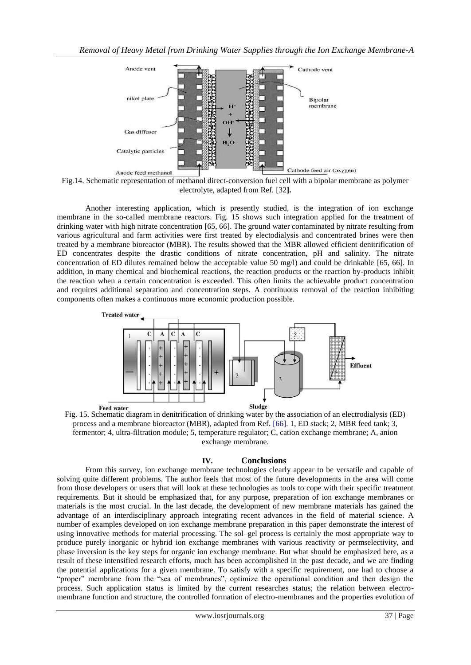

Fig.14. Schematic representation of methanol direct-conversion fuel cell with a bipolar membrane as polymer electrolyte, adapted from Ref. [32**].**

Another interesting application, which is presently studied, is the integration of ion exchange membrane in the so-called membrane reactors. Fig. 15 shows such integration applied for the treatment of drinking water with high nitrate concentration [65, 66]. The ground water contaminated by nitrate resulting from various agricultural and farm activities were first treated by electodialysis and concentrated brines were then treated by a membrane bioreactor (MBR). The results showed that the MBR allowed efficient denitrification of ED concentrates despite the drastic conditions of nitrate concentration, pH and salinity. The nitrate concentration of ED dilutes remained below the acceptable value 50 mg/l) and could be drinkable [65, 66]. In addition, in many chemical and biochemical reactions, the reaction products or the reaction by-products inhibit the reaction when a certain concentration is exceeded. This often limits the achievable product concentration and requires additional separation and concentration steps. A continuous removal of the reaction inhibiting components often makes a continuous more economic production possible.



Fig. 15. Schematic diagram in denitrification of drinking water by the association of an electrodialysis (ED) process and a membrane bioreactor (MBR), adapted from Ref. [66]. 1, ED stack; 2, MBR feed tank; 3, fermentor; 4, ultra-filtration module; 5, temperature regulator; C, cation exchange membrane; A, anion exchange membrane.

### **IV. Conclusions**

From this survey, ion exchange membrane technologies clearly appear to be versatile and capable of solving quite different problems. The author feels that most of the future developments in the area will come from those developers or users that will look at these technologies as tools to cope with their specific treatment requirements. But it should be emphasized that, for any purpose, preparation of ion exchange membranes or materials is the most crucial. In the last decade, the development of new membrane materials has gained the advantage of an interdisciplinary approach integrating recent advances in the field of material science. A number of examples developed on ion exchange membrane preparation in this paper demonstrate the interest of using innovative methods for material processing. The sol–gel process is certainly the most appropriate way to produce purely inorganic or hybrid ion exchange membranes with various reactivity or permselectivity, and phase inversion is the key steps for organic ion exchange membrane. But what should be emphasized here, as a result of these intensified research efforts, much has been accomplished in the past decade, and we are finding the potential applications for a given membrane. To satisfy with a specific requirement, one had to choose a "proper" membrane from the "sea of membranes", optimize the operational condition and then design the process. Such application status is limited by the current researches status; the relation between electromembrane function and structure, the controlled formation of electro-membranes and the properties evolution of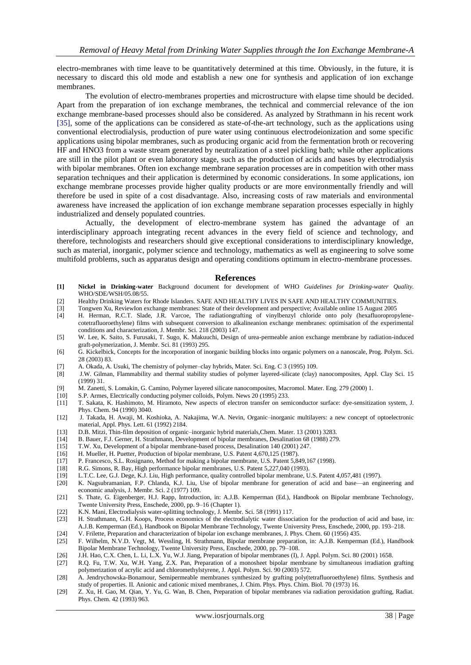electro-membranes with time leave to be quantitatively determined at this time. Obviously, in the future, it is necessary to discard this old mode and establish a new one for synthesis and application of ion exchange membranes.

 The evolution of electro-membranes properties and microstructure with elapse time should be decided. Apart from the preparation of ion exchange membranes, the technical and commercial relevance of the ion exchange membrane-based processes should also be considered. As analyzed by Strathmann in his recent work [35], some of the applications can be considered as state-of-the-art technology, such as the applications using conventional electrodialysis, production of pure water using continuous electrodeionization and some specific applications using bipolar membranes, such as producing organic acid from the fermentation broth or recovering HF and HNO3 from a waste stream generated by neutralization of a steel pickling bath; while other applications are still in the pilot plant or even laboratory stage, such as the production of acids and bases by electrodialysis with bipolar membranes. Often ion exchange membrane separation processes are in competition with other mass separation techniques and their application is determined by economic considerations. In some applications, ion exchange membrane processes provide higher quality products or are more environmentally friendly and will therefore be used in spite of a cost disadvantage. Also, increasing costs of raw materials and environmental awareness have increased the application of ion exchange membrane separation processes especially in highly industrialized and densely populated countries.

Actually, the development of electro-membrane system has gained the advantage of an interdisciplinary approach integrating recent advances in the every field of science and technology, and therefore, technologists and researchers should give exceptional considerations to interdisciplinary knowledge, such as material, inorganic, polymer science and technology, mathematics as well as engineering to solve some multifold problems, such as apparatus design and operating conditions optimum in electro-membrane processes.

#### **References**

- **[1] Nickel in Drinking-water** Background document for development of WHO *Guidelines for Drinking-water Quality.* WHO/SDE/WSH/05.08/55.
- [2] Healthy Drinking Waters for Rhode Islanders. SAFE AND HEALTHY LIVES IN SAFE AND HEALTHY COMMUNITIES.<br>[3] Tongwen Xu, ReviewIon exchange membranes: State of their development and perspective; Available online 15 August
- [3] Tongwen Xu, ReviewIon exchange membranes: State of their development and perspective; Available online 15 August 2005
- [4] H. Herman, R.C.T. Slade, J.R. Varcoe, The radiationgrafting of vinylbenzyl chloride onto poly (hexafluoropropylenecotetrafluoroethylene) films with subsequent conversion to alkalineanion exchange membranes: optimisation of the experimental conditions and characterization, J. Membr. Sci. 218 (2003) 147.
- [5] W. Lee, K. Saito, S. Furusaki, T. Sugo, K. Makuuchi, Design of urea-permeable anion exchange membrane by radiation-induced graft-polymerization, J. Membr. Sci. 81 (1993) 295.
- [6] G. Kickelbick, Concepts for the incorporation of inorganic building blocks into organic polymers on a nanoscale, Prog. Polym. Sci. 28 (2003) 83.
- [7] A. Okada, A. Usuki, The chemistry of polymer–clay hybrids, Mater. Sci. Eng. C 3 (1995) 109.
- [8] J.W. Gilman, Flammability and thermal stability studies of polymer layered-silicate (clay) nanocomposites, Appl. Clay Sci. 15 (1999) 31.
- [9] M. Zanetti, S. Lomakin, G. Camino, Polymer layered silicate nanocomposites, Macromol. Mater. Eng. 279 (2000) 1.
- [10] S.P. Armes, Electrically conducting polymer colloids, Polym. News 20 (1995) 233.
- [11] T. Sakata, K. Hashimoto, M. Hiramoto, New aspects of electron transfer on semiconductor surface: dye-sensitization system, J. Phys. Chem. 94 (1990) 3040.
- [12] J. Takada, H. Awaji, M. Koshioka, A. Nakajima, W.A. Nevin, Organic–inorganic multilayers: a new concept of optoelectronic material, Appl. Phys. Lett. 61 (1992) 2184.
- [13] D.B. Mitzi, Thin-film deposition of organic–inorganic hybrid materials,Chem. Mater. 13 (2001) 3283.
- [14] B. Bauer, F.J. Gerner, H. Strathmann, Development of bipolar membranes, Desalination 68 (1988) 279.
- [15] T.W. Xu, Development of a bipolar membrane-based process, Desalination 140 (2001) 247.
- 
- [16] H. Mueller, H. Puetter, Production of bipolar membrane, U.S. Patent 4,670,125 (1987).
- [17] P. Francesco, S.L. Rosignano, Method for making a bipolar membrane, U.S. Patent 5,849,167 (1998). R.G. Simons, R. Bay, High performance bipolar membranes, U.S. Patent 5,227,040 (1993).
- [19] L.T.C. Lee, G.J. Dege, K.J. Liu, High performance, quality controlled bipolar membrane, U.S. Patent 4,057,481 (1997).
- [20] K. Nagsubramanian, F.P. Chlanda, K.J. Liu, Use of bipolar membrane for generation of acid and base—an engineering and economic analysis, J. Membr. Sci. 2 (1977) 109.
- [21] S. Thate, G. Eigenberger, H.J. Rapp, Introduction, in: A.J.B. Kemperman (Ed.), Handbook on Bipolar membrane Technology, Twente University Press, Enschede, 2000, pp. 9–16 (Chapter 1).
- [22] K.N. Mani, Electrodialysis water-splitting technology, J. Membr. Sci. 58 (1991) 117.
- H. Strathmann, G.H. Koops, Process economics of the electrodialytic water dissociation for the production of acid and base, in: A.J.B. Kemperman (Ed.), Handbook on Bipolar Membrane Technology, Twente University Press, Enschede, 2000, pp. 193–218.
- [24] V. Frilette, Preparation and characterization of bipolar ion exchange membranes, J. Phys. Chem. 60 (1956) 435.
- [25] F. Wilhelm, N.V.D. Vegt, M. Wessling, H. Strathmann, Bipolar membrane preparation, in: A.J.B. Kemperman (Ed.), Handbook Bipolar Membrane Technology, Twente University Press, Enschede, 2000, pp. 79–108.
- [26] J.H. Hao, C.X. Chen, L. Li, L.X. Yu, W.J. Jiang, Preparation of bipolar membranes (I), J. Appl. Polym. Sci. 80 (2001) 1658.
- [27] R.Q. Fu, T.W. Xu, W.H. Yang, Z.X. Pan, Preparation of a monosheet bipolar membrane by simultaneous irradiation grafting polymerization of acrylic acid and chloromethylstyrene, J. Appl. Polym. Sci. 90 (2003) 572.
- [28] A. Jendrychowska-Bonamour, Semipermeable membranes synthesized by grafting poly(tetrafluoroethylene) films. Synthesis and study of properties. II. Anionic and cationic mixed membranes, J. Chim. Phys. Phys. Chim. Biol. 70 (1973) 16.
- [29] Z. Xu, H. Gao, M. Qian, Y. Yu, G. Wan, B. Chen, Preparation of bipolar membranes via radiation peroxidation grafting, Radiat. Phys. Chem. 42 (1993) 963.